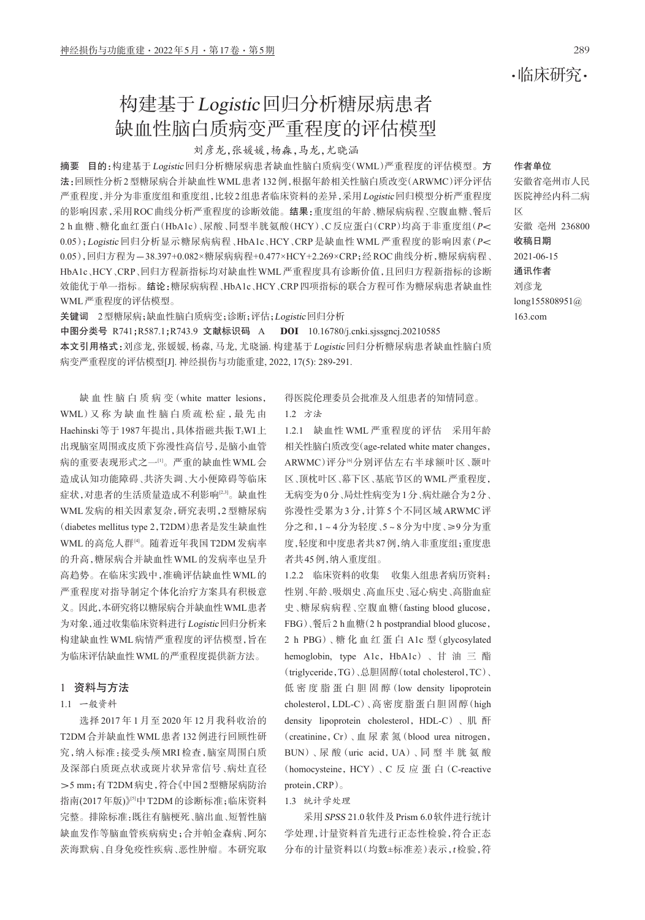# 构建基于Logistic回归分析糖尿病患者 缺血性脑白质病变严重程度的评估模型

## 刘彦龙,张媛媛,杨淼,马龙,尤晓涵

摘要 目的:构建基于Logistic回归分析糖尿病患者缺血性脑白质病变(WML)严重程度的评估模型。方 法:回顾性分析2型糖尿病合并缺血性WML患者132例,根据年龄相关性脑白质改变(ARWMC)评分评估 严重程度,并分为非重度组和重度组,比较2组患者临床资料的差异,采用Logistic回归模型分析严重程度 的影响因素,采用ROC曲线分析严重程度的诊断效能。结果:重度组的年龄、糖尿病病程、空腹血糖、餐后 2 h 血糖、糖化血红蛋白(HbA1c)、尿酸、同型半胱氨酸(HCY)、C 反应蛋白(CRP)均高于非重度组(P< 0.05);Logistic 回归分析显示糖尿病病程、HbA1c、HCY、CRP 是缺血性 WML 严重程度的影响因素(P< 0.05),回归方程为-38.397+0.082×糖尿病病程+0.477×HCY+2.269×CRP;经ROC曲线分析,糖尿病病程、 HbA1c、HCY、CRP、回归方程新指标均对缺血性WML严重程度具有诊断价值,且回归方程新指标的诊断 效能优于单一指标。结论:糖尿病病程、HbA1c、HCY、CRP四项指标的联合方程可作为糖尿病患者缺血性 WML严重程度的评估模型。

关键词 2型糖尿病;缺血性脑白质病变;诊断;评估;Logistic回归分析

中图分类号 R741;R587.1;R743.9 文献标识码 A DOI 10.16780/j.cnki.sjssgncj.20210585 本文引用格式:刘彦龙, 张媛媛, 杨淼, 马龙, 尤晓涵. 构建基于Logistic回归分析糖尿病患者缺血性脑白质 病变严重程度的评估模型[J]. 神经损伤与功能重建, 2022, 17(5): 289-291.

缺 血 性 脑 白 质 病 变(white matter lesions, WML) 又 称 为 缺 血 性 脑 白 质 疏 松 症 , 最 先 由 Haehinski 等于1987年提出,具体指磁共振 T2WI上 出现脑室周围或皮质下弥漫性高信号,是脑小血管 病的重要表现形式之一[1] 。严重的缺血性WML会 造成认知功能障碍、共济失调、大小便障碍等临床 症状,对患者的生活质量造成不利影响[2,3] 。缺血性 WML发病的相关因素复杂,研究表明,2型糖尿病 (diabetes mellitus type 2,T2DM)患者是发生缺血性 WML 的高危人群⑷。随着近年我国 T2DM 发病率 的升高,糖尿病合并缺血性WML的发病率也呈升 高趋势。在临床实践中,准确评估缺血性WML的 严重程度对指导制定个体化治疗方案具有积极意 义。因此,本研究将以糖尿病合并缺血性WML患者 为对象,通过收集临床资料进行Logistic回归分析来 构建缺血性WML病情严重程度的评估模型,旨在 为临床评估缺血性WML的严重程度提供新方法。

### 1 资料与方法

## 1.1 一般资料

选择 2017 年 1 月至 2020 年 12 月我科收治的 T2DM合并缺血性WML患者132例进行回顾性研 究,纳入标准:接受头颅 MRI 检查,脑室周围白质 及深部白质斑点状或斑片状异常信号、病灶直径 >5 mm;有T2DM病史,符合《中国2型糖尿病防治 指南(2017年版)》『『中 T2DM 的诊断标准;临床资料 完整。排除标准:既往有脑梗死、脑出血、短暂性脑 缺血发作等脑血管疾病病史;合并帕金森病、阿尔 茨海默病、自身免疫性疾病、恶性肿瘤。本研究取

得医院伦理委员会批准及入组患者的知情同意。

1.2 方法

1.2.1 缺血性 WML 严重程度的评估 采用年龄 相关性脑白质改变(age-related white mater changes, ARWMC)评分<sup>6例</sup>分别评估左右半球额叶区 、颞叶 区、顶枕叶区、幕下区、基底节区的WML严重程度, 无病变为0分、局灶性病变为1分、病灶融合为2分、 弥漫性受累为3分,计算5个不同区域ARWMC评 分之和,1~4分为轻度、5~8分为中度、≥9分为重 度,轻度和中度患者共87例,纳入非重度组;重度患 者共45例,纳入重度组。

1.2.2 临床资料的收集 收集入组患者病历资料: 性别、年龄、吸烟史、高血压史、冠心病史、高脂血症 史、糖尿病病程、空腹血糖(fasting blood glucose, FBG)、餐后2 h血糖(2 h postprandial blood glucose, 2 h PBG)、糖 化 血 红 蛋 白 A1c 型(glycosylated hemoglobin, type A1c, HbA1c)、甘 油 三 酯 (triglyceride,TG)、总胆固醇(total cholesterol,TC)、 低 密 度 脂 蛋 白 胆 固 醇 (low density lipoprotein cholesterol,LDL-C)、高密度脂蛋白胆固醇(high density lipoprotein cholesterol, HDL-C)、肌 酐 (creatinine,Cr)、血 尿 素 氮(blood urea nitrogen, BUN)、尿 酸(uric acid,UA)、同 型 半 胱 氨 酸 (homocysteine, HCY)、C 反 应 蛋 白 (C-reactive protein,CRP)。

1.3 统计学处理

采用SPSS 21.0软件及Prism 6.0软件进行统计 学处理,计量资料首先进行正态性检验,符合正态 分布的计量资料以(均数±标准差)表示,t检验,符

## ·临床研究·

#### 作者单位

安徽省亳州市人民 医院神经内科二病 区 安徽 亳州 236800 收稿日期 2021-06-15 通讯作者 刘彦龙 long155808951@ 163.com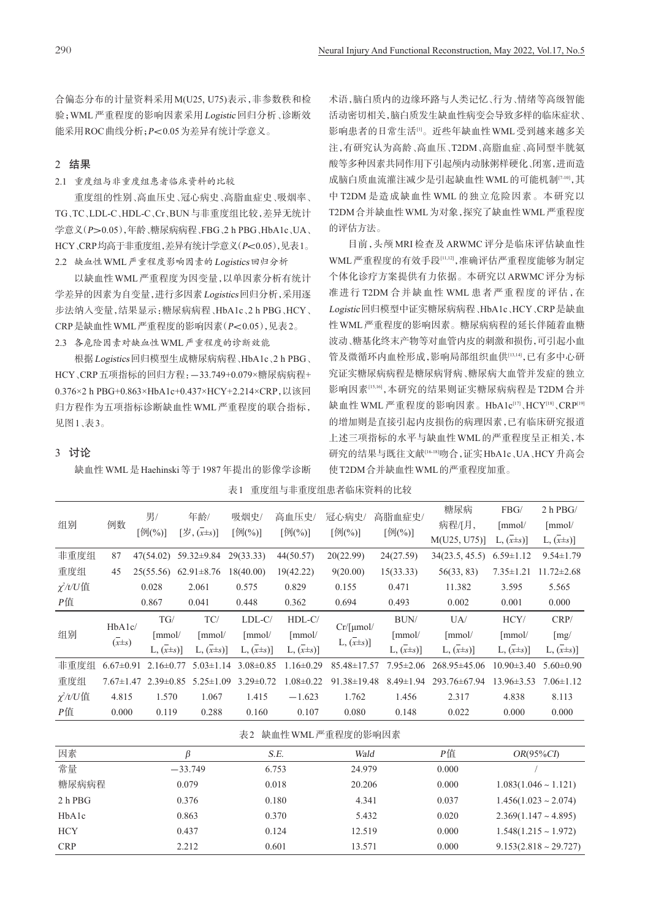合偏态分布的计量资料采用M(U25, U75)表示,非参数秩和检 验;WML严重程度的影响因素采用Logistic回归分析、诊断效 能采用ROC曲线分析;P<0.05为差异有统计学意义。

## 2 结果

2.1 重度组与非重度组患者临床资料的比较

重度组的性别、高血压史、冠心病史、高脂血症史、吸烟率、 TG、TC、LDL-C、HDL-C、Cr、BUN与非重度组比较,差异无统计 学意义(P>0.05),年龄、糖尿病病程、FBG、2 h PBG、HbA1c、UA、 HCY、CRP均高于非重度组,差异有统计学意义(P<0.05),见表1。 2.2 缺血性WML严重程度影响因素的Logistics回归分析

以缺血性WML严重程度为因变量,以单因素分析有统计 学差异的因素为自变量,进行多因素Logistics回归分析,采用逐 步法纳入变量,结果显示:糖尿病病程、HbA1c、2 h PBG、HCY、 CRP是缺血性WML严重程度的影响因素(P<0.05),见表2。 2.3 各危险因素对缺血性WML严重程度的诊断效能

根据Logistics回归模型生成糖尿病病程、HbA1c、2 h PBG、 HCY、CRP五项指标的回归方程:-33.749+0.079×糖尿病病程+ 0.376×2 h PBG+0.863×HbA1c+0.437×HCY+2.214×CRP,以该回 归方程作为五项指标诊断缺血性WML严重程度的联合指标, 见图1、表3。

术语,脑白质内的边缘环路与人类记忆、行为、情绪等高级智能 活动密切相关,脑白质发生缺血性病变会导致多样的临床症状、 影响患者的日常生活<sup>u</sup>。近些年缺血性 WML 受到越来越多关 注,有研究认为高龄、高血压、T2DM、高脂血症、高同型半胱氨 酸等多种因素共同作用下引起颅内动脉粥样硬化、闭塞,进而造 成脑白质血流灌注减少是引起缺血性 WML 的可能机制[7-10],其 中 T2DM 是造成缺血性 WML 的独立危险因素。本研究以 T2DM合并缺血性WML为对象,探究了缺血性WML严重程度 的评估方法。

目前,头颅 MRI 检查及 ARWMC 评分是临床评估缺血性 WML 严重程度的有效手段[<sup>11,12</sup>] ,准确评估严重程度能够为制定 个体化诊疗方案提供有力依据。本研究以ARWMC评分为标 准进行 T2DM 合并缺血性 WML 患者严重程度的评估,在 Logistic回归模型中证实糖尿病病程、HbA1c、HCY、CRP是缺血 性WML严重程度的影响因素。糖尿病病程的延长伴随着血糖 波动、糖基化终末产物等对血管内皮的刺激和损伤,可引起小血 管及微循环内血栓形成,影响局部组织血供[13,14] ,已有多中心研 究证实糖尿病病程是糖尿病肾病、糖尿病大血管并发症的独立 影响因素<sup>[15,16</sup>],本研究的结果则证实糖尿病病程是 T2DM 合并 缺血性 WML 严重程度的影响因素。HbA1c<sup>[17]</sup> 、HCY<sup>[18]</sup> 、CRP<sup>[19]</sup> 的增加则是直接引起内皮损伤的病理因素,已有临床研究报道 上述三项指标的水平与缺血性WML的严重程度呈正相关,本 研究的结果与既往文献<sup>[16-18</sup>]吻合,证实HbA1c、UA、HCY升高会 使T2DM合并缺血性WML的严重程度加重。

## 3 讨论

缺血性 WML 是 Haehinski 等于 1987 年提出的影像学诊断

| 重度组与非重度组患者临床资料的比较<br>表1 |  |
|-------------------------|--|
|-------------------------|--|

| 组别                   | 例数                   | 男/                                            | 年龄/                                              |                     | 吸烟史/                               | 高血压史/                  | 冠心病史/                                               | 高脂血症史/                             | 糖尿病<br>病程/[月,                    | FBG/<br>[mmol/                     | $2 h$ PBG/<br>$\lceil$ mmol $\ell$ |
|----------------------|----------------------|-----------------------------------------------|--------------------------------------------------|---------------------|------------------------------------|------------------------|-----------------------------------------------------|------------------------------------|----------------------------------|------------------------------------|------------------------------------|
|                      |                      | [例(%)]                                        | $[\overline{\mathcal{B}}, (\overline{x} \pm s)]$ |                     | $\lceil \frac{\ln(N)}{N} \rceil$   | [例(%)]                 | [60(%)]                                             | [例(%)]                             | M(U25, U75)                      | $L, (\mathbf{x} \pm \mathbf{s})$   | $L, (\bar{x} \pm s)]$              |
| 非重度组                 | 87                   | 47(54.02)                                     | 59.32±9.84                                       |                     | 29(33.33)                          | 44(50.57)              | 20(22.99)                                           | 24(27.59)                          | 34(23.5, 45.5)                   | $6.59 \pm 1.12$                    | $9.54 \pm 1.79$                    |
| 重度组                  | 45                   | 25(55.56)                                     | $62.91 \pm 8.76$                                 |                     | 18(40.00)                          | 19(42.22)              | 9(20.00)                                            | 15(33.33)                          | 56(33, 83)                       | $7.35 \pm 1.21$                    | $11.72 \pm 2.68$                   |
| $\chi^2/t/U$ 值       |                      | 0.028                                         | 2.061                                            |                     | 0.575                              | 0.829                  | 0.155                                               | 0.471                              | 11.382                           | 3.595                              | 5.565                              |
| P值                   |                      | 0.867                                         | 0.041                                            |                     | 0.448                              | 0.362                  | 0.694                                               | 0.493                              | 0.002                            | 0.001                              | 0.000                              |
| 组别                   | HbA1c/<br>$(x\pm s)$ | TG/<br>$\lceil$ mmol/<br>$L, (\bar{x} \pm s)$ |                                                  | TC/                 | $LDL-C/$                           | $HDL-C/$               | $Cr/[\mu mol/$<br>$L, (\mathbf{x} \pm \mathbf{s})]$ | BUN/                               | $U_A$                            | HCY/                               | CRP/                               |
|                      |                      |                                               |                                                  | [mmol/              | [mmol/                             | $\lceil$ mmol $\prime$ |                                                     | [mmol/                             | $\lceil$ mmol $\ell$             | $\lceil$ mmol $\ell$               | [mg]                               |
|                      |                      |                                               |                                                  | $L, (\chi \pm s)$ ] | $L, (\mathbf{x} \pm \mathbf{s})$ ] | $L, (\bar{x} \pm s)]$  |                                                     | $L, (\mathbf{x} \pm \mathbf{s})$ ] | $L, (\mathbf{x} \pm \mathbf{s})$ | $L, (\mathbf{x} \pm \mathbf{s})$ ] | $L, (\mathbf{x} \pm \mathbf{s})]$  |
| 非重度组                 | $6.67 \pm 0.91$      | $2.16 \pm 0.77$                               |                                                  | $5.03 \pm 1.14$     | $3.08 \pm 0.85$                    | $1.16 \pm 0.29$        | 85.48±17.57                                         | $7.95 \pm 2.06$                    | 268.95±45.06                     | $10.90 \pm 3.40$                   | $5.60 \pm 0.90$                    |
| 重度组                  | $7.67 \pm 1.47$      | $2.39 \pm 0.85$                               |                                                  | $5.25 \pm 1.09$     | $3.29 \pm 0.72$                    | $.08 \pm 0.22$         | 91.38±19.48                                         | $8.49 \pm 1.94$                    | 293.76±67.94                     | $13.96 \pm 3.53$                   | $7.06 \pm 1.12$                    |
| χ <sup>2</sup> /t/U值 | 4.815                | 1.570                                         |                                                  | 1.067               | 1.415                              | $-1.623$               | 1.762                                               | 1.456                              | 2.317                            | 4.838                              | 8.113                              |
| P值                   | 0.000                | 0.119                                         |                                                  | 0.288               | 0.160                              | 0.107                  | 0.080                                               | 0.148                              | 0.022                            | 0.000                              | 0.000                              |
|                      |                      |                                               |                                                  |                     |                                    |                        |                                                     |                                    |                                  |                                    |                                    |

|  | 表2 |  | - 缺血性 WML 严重程度的影响因素 |
|--|----|--|---------------------|
|--|----|--|---------------------|

| 因素         |           | S.E.  | Wald   | Р值    | $OR(95\%CI)$                  |
|------------|-----------|-------|--------|-------|-------------------------------|
| 常量         | $-33.749$ | 6.753 | 24.979 | 0.000 |                               |
| 糖尿病病程      | 0.079     | 0.018 | 20.206 | 0.000 | $1.083(1.046 \sim 1.121)$     |
| $2h$ PBG   | 0.376     | 0.180 | 4.341  | 0.037 | $1.456(1.023 \sim 2.074)$     |
| HbA1c      | 0.863     | 0.370 | 5.432  | 0.020 | $2.369(1.147 \sim 4.895)$     |
| <b>HCY</b> | 0.437     | 0.124 | 12.519 | 0.000 | $1.548(1.215 \sim 1.972)$     |
| <b>CRP</b> | 2.212     | 0.601 | 13.571 | 0.000 | $9.153(2.818 \approx 29.727)$ |